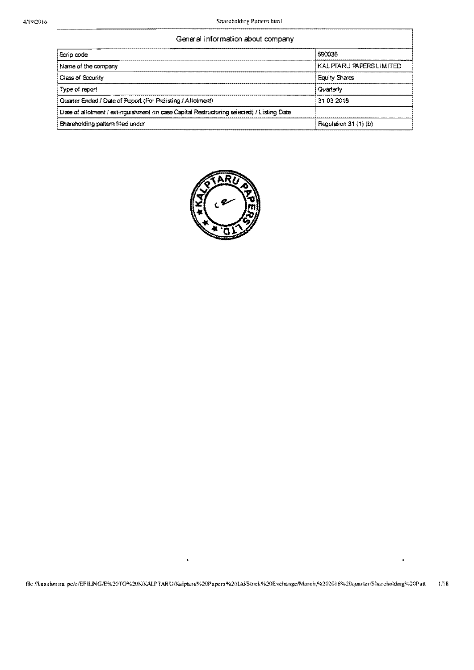| General information about company                                                          |                         |  |  |  |  |  |
|--------------------------------------------------------------------------------------------|-------------------------|--|--|--|--|--|
| Scrip code                                                                                 | 590036                  |  |  |  |  |  |
| Name of the company                                                                        | KALPTARU PAPERS LIMITED |  |  |  |  |  |
| Class of Security                                                                          | <b>Equity Shares</b>    |  |  |  |  |  |
| Type of report                                                                             | Quarterly               |  |  |  |  |  |
| Quarter Ended / Date of Report (For Preliging / Allotment)                                 | 31 03 2016              |  |  |  |  |  |
| Date of allotment / extinguishment (in case Capital Restructuring selected) / Listing Date |                         |  |  |  |  |  |
| Shareholding pattern filed under                                                           | Regulation 31 (1) (b)   |  |  |  |  |  |

 $\frac{1}{2}$  . The contract of  $\frac{1}{2}$  ,  $\frac{1}{2}$  ,  $\frac{1}{2}$  ,  $\frac{1}{2}$  ,  $\frac{1}{2}$  ,  $\frac{1}{2}$  ,  $\frac{1}{2}$  ,  $\frac{1}{2}$  ,  $\frac{1}{2}$  ,  $\frac{1}{2}$  ,  $\frac{1}{2}$  ,  $\frac{1}{2}$  ,  $\frac{1}{2}$  ,  $\frac{1}{2}$  ,  $\frac{1}{2}$  ,  $\frac{1}{2}$  ,



 $\bullet$ 

 $\ddot{\bullet}$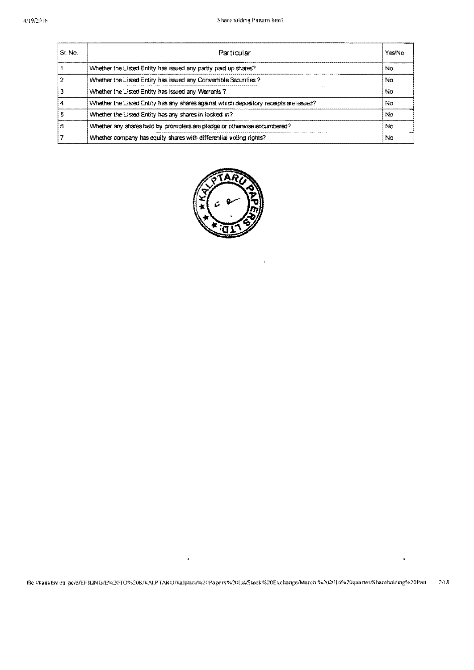| S. No. | Particular                                                                             | Yes/No |
|--------|----------------------------------------------------------------------------------------|--------|
|        | Whether the Listed Entity has issued any partly paid up shares?                        | No     |
|        | Whether the Listed Entity has issued any Convertible Securities?                       | No     |
|        | Whether the Listed Entity has issued any Warrants?                                     | No     |
|        | Whether the Listed Entity has any shares against which depository receipts are issued? | No     |
|        | Whether the Listed Entity has any shares in locked in?                                 | No.    |
| 6      | Whether any shares held by promoters are pledge or otherwise encumbered?               | No     |
|        | Whether company has equity shares with differential voting rights?                     | No     |



 $\pmb{\ast}$ 

 $\ddot{\phantom{1}}$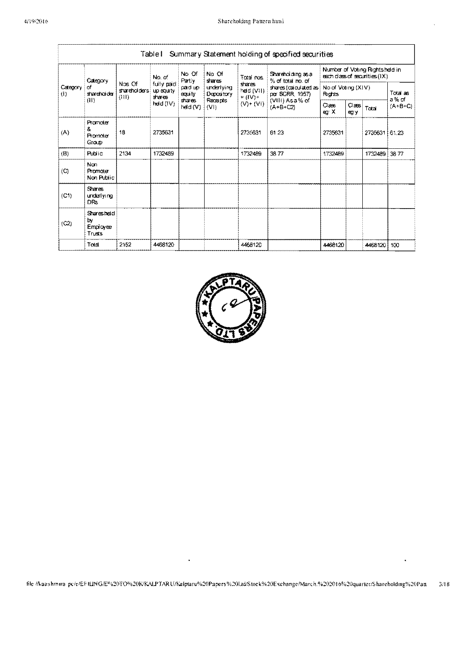|                     | Summary Statement holding of specified securities<br>TableT |                                |                                    |                                                                                |                          |                                        |                                                                 |         |                    |             |       |
|---------------------|-------------------------------------------------------------|--------------------------------|------------------------------------|--------------------------------------------------------------------------------|--------------------------|----------------------------------------|-----------------------------------------------------------------|---------|--------------------|-------------|-------|
| Category            |                                                             | No of                          | No Of<br><b>Fartiy</b>             | No Of<br>shares                                                                | Toral nos                | Shareholding as a<br>% of total no. of | Number of Voting Rightsheld in<br>each class of securities (IX) |         |                    |             |       |
| Category<br>(1)     | া<br>shareholder                                            | Nos Of<br>shareholders<br>(11) | fully paid.<br>up equity<br>shares | pad up<br>equity                                                               | underlying<br>Depository | ਤੀਲ ਦਾ<br>heid (VII).<br>$=(IV)^+$     | shares (calculated as $ $<br>per SCRR 1957)                     | Rights  | No of Voting (XIV) |             |       |
|                     | (11)                                                        |                                | $\mathsf{redd}(\mathsf{IV})$       | shares<br><b>Recepts</b><br>$(V)$ + (VI)<br>$(A + B + C2)$<br>heid (V)<br>(VI) | (VIII) Asa% of           | $\alpha$ ass<br>eg X                   | $\text{Class}$<br>eg y                                          | Total   | a% of<br>$(A+B+C)$ |             |       |
| (A)                 | Promoter<br>8.<br>Promoter<br>Group                         | 18                             | 2735631                            |                                                                                |                          | 2735631                                | 61 23                                                           | 2735631 |                    | 2735631     | 61.23 |
| (B)                 | <b>Public</b>                                               | 2134                           | 1732489                            |                                                                                |                          | 1732489                                | 3877                                                            | 1732489 |                    | 1732489     | 3877  |
| $\langle C \rangle$ | Non<br>Promoter<br>Non Public                               |                                |                                    |                                                                                |                          |                                        |                                                                 |         |                    |             |       |
| (C1)                | <b>Shares</b><br>underlying<br>DRs.                         |                                |                                    |                                                                                |                          |                                        |                                                                 |         |                    |             |       |
| (C2)                | Sharesheld<br>by<br>Employee<br>Trusts                      |                                |                                    |                                                                                |                          |                                        |                                                                 |         |                    |             |       |
|                     | Total                                                       | 2152                           | 4468120                            |                                                                                |                          | 4468120                                |                                                                 | 4468120 |                    | 4468120 100 |       |



file //kaashmira-pc/e/EF1LING/E%20TO%20K/KALPTARU/Kalptaru%20Papers%20Ltd/Stock%20Exchange/March.%202016%20quarter/Shareholding%20Patt  $3/18$ 

×

 $\star$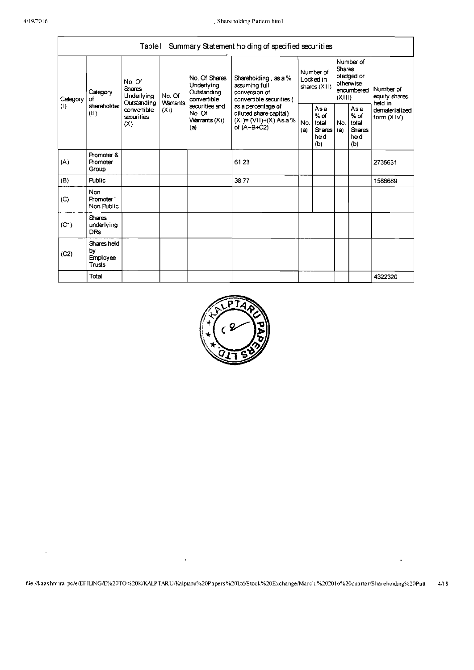$\ddot{\phantom{0}}$ 

|                                                          |                                                                                  | Table I                                          |                                                                                            |                                                           | Summary Statement holding of specified securities                                  |                                          |                                                        |                                                                               |  |                                                                         |
|----------------------------------------------------------|----------------------------------------------------------------------------------|--------------------------------------------------|--------------------------------------------------------------------------------------------|-----------------------------------------------------------|------------------------------------------------------------------------------------|------------------------------------------|--------------------------------------------------------|-------------------------------------------------------------------------------|--|-------------------------------------------------------------------------|
| Category<br>Category<br>Ωf<br>(1)<br>shareholder<br>(11) |                                                                                  | No. Of<br><b>Shares</b><br>Underlying            | No. Of                                                                                     | No. Of Shares<br>Underlying<br>Outstanding<br>convertible | Shareholding, as a %<br>assuming full<br>conversion of<br>convertible securities ( | Number of<br>Locked in<br>shares $(X I)$ |                                                        | Number of<br><b>Shares</b><br>pledged or<br>otherwise<br>encumbered<br>(XIII) |  | Number of<br>equity shares<br>heid in<br>dematerialized<br>form $(X V)$ |
|                                                          | Warrants<br>Outstanding<br>convertible<br>(X <sub>i</sub> )<br>securities<br>(X) | securities and<br>No. Of<br>Warrants (Xi)<br>(a) | as a percentage of<br>diluted share capital)<br>$(XI) = (VII)+(X) As a %$<br>of $(A+B+C2)$ | No.<br>(a)                                                | Asa<br>$%$ of<br>total<br><b>Shares</b><br>held<br>(b)                             | No.<br>(a)                               | Asa<br>$%$ of<br>total<br><b>Shares</b><br>held<br>(b) |                                                                               |  |                                                                         |
| (A)                                                      | Promoter &<br>Promoter<br>Group                                                  |                                                  |                                                                                            |                                                           | 61.23                                                                              |                                          |                                                        |                                                                               |  | 2735631                                                                 |
| (B)                                                      | <b>Public</b>                                                                    |                                                  |                                                                                            |                                                           | 38.77                                                                              |                                          |                                                        |                                                                               |  | 1586689                                                                 |
| (C)                                                      | <b>Non</b><br>Promoter <sup>-</sup><br>Non Public                                |                                                  |                                                                                            |                                                           |                                                                                    |                                          |                                                        |                                                                               |  |                                                                         |
| (C1)                                                     | <b>Shares</b><br>underlying<br><b>DRs</b>                                        |                                                  |                                                                                            |                                                           |                                                                                    |                                          |                                                        |                                                                               |  |                                                                         |
| (C2)                                                     | Shares held<br>bγ<br><b>Employee</b><br>Trusts                                   |                                                  |                                                                                            |                                                           |                                                                                    |                                          |                                                        |                                                                               |  |                                                                         |
|                                                          | Total                                                                            |                                                  |                                                                                            |                                                           |                                                                                    |                                          |                                                        |                                                                               |  | 4322320                                                                 |



 $\hat{\mathbf{r}}$ 

 $\bullet$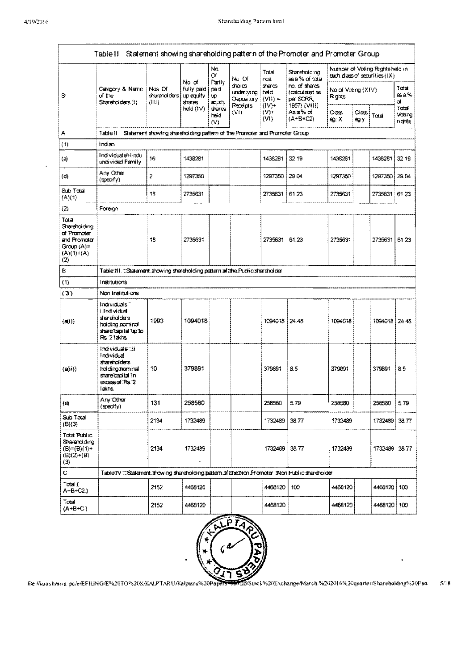|                                                                                            | Table II Statement showing shareholding pattern of the Promoter and Promoter Group                               |                                                                           |                                            |                                       |                                                         |                                         |                                                             |                              |               |                                                                 |                          |  |  |
|--------------------------------------------------------------------------------------------|------------------------------------------------------------------------------------------------------------------|---------------------------------------------------------------------------|--------------------------------------------|---------------------------------------|---------------------------------------------------------|-----------------------------------------|-------------------------------------------------------------|------------------------------|---------------|-----------------------------------------------------------------|--------------------------|--|--|
|                                                                                            |                                                                                                                  |                                                                           |                                            | No.<br>Œ                              | No Of                                                   | Total<br>nos.                           | Shareholding<br>asa % of total                              |                              |               | Number of Voting Rightsheld in<br>each class of securities (IX) |                          |  |  |
| Sr                                                                                         | Category & Name<br>of the<br>Shareholders (I)                                                                    | Nos Of<br>stareholders<br>(HI).                                           | No of<br>fully paid<br>up equity<br>shares | Partly<br>cerd<br><b>LD</b><br>equity | shares.<br>underlving.<br>Depository<br><b>Receipts</b> | shares<br>held<br>$(VII) =$<br>$(1V) +$ | no. of shares<br>(calculated as<br>per SCRR<br>1957) (VIII) | No of Voting (XIV)<br>Rights |               |                                                                 | Tutal<br>asa %<br>σf     |  |  |
|                                                                                            |                                                                                                                  |                                                                           | hed (IV)                                   | shares<br>heid.<br>(V)                | (VI)                                                    | $(V)$ +<br>(W)                          | Asa% of<br>(A+B+C2)                                         | Claass<br>eg: X              | Class<br>eg y | Total                                                           | Tatal<br>Voting<br>nohts |  |  |
| Α                                                                                          | Table II                                                                                                         | Statement showing shareholding pattern of the Promoter and Promoter Group |                                            |                                       |                                                         |                                         |                                                             |                              |               |                                                                 |                          |  |  |
| (1)                                                                                        | Indian                                                                                                           |                                                                           |                                            |                                       |                                                         |                                         |                                                             |                              |               |                                                                 |                          |  |  |
| (자                                                                                         | Individual shindu<br>undivided Family                                                                            | 16                                                                        | 14'18281                                   |                                       |                                                         | 1438281                                 | 32.19                                                       | 1438281                      |               | 1438281                                                         | 32.19                    |  |  |
| $\langle 0 \rangle$                                                                        | Any Other<br>$(specify)$                                                                                         | 2                                                                         | 1297350                                    |                                       |                                                         | 1297350                                 | 29.04                                                       | 1297350                      |               | 1297350                                                         | 29.04                    |  |  |
| Sub Total<br>(A)(1)                                                                        |                                                                                                                  | 18                                                                        | 2735631                                    |                                       |                                                         | 2735631                                 | 6123                                                        | 2735631                      |               | 2735631 61 23                                                   |                          |  |  |
| (2)                                                                                        | Foreign                                                                                                          |                                                                           |                                            |                                       |                                                         |                                         |                                                             |                              |               |                                                                 |                          |  |  |
| Total<br>Shareholding<br>of Promoter<br>and Promoter<br>$Group(A)=$<br>$(A)(1)+(A)$<br>(2) |                                                                                                                  | 18                                                                        | 2735631                                    |                                       |                                                         | 2735631 61.23                           |                                                             | 2735631                      |               | 2735631                                                         | 6123                     |  |  |
| в                                                                                          | Table 111. "Statement showing shareholding pattern of the Public shareholder                                     |                                                                           |                                            |                                       |                                                         |                                         |                                                             |                              |               |                                                                 |                          |  |  |
| (1)                                                                                        | Institutions                                                                                                     |                                                                           |                                            |                                       |                                                         |                                         |                                                             |                              |               |                                                                 |                          |  |  |
| (3)                                                                                        | Non institutions                                                                                                 |                                                                           |                                            |                                       |                                                         |                                         |                                                             |                              |               |                                                                 |                          |  |  |
| (d(i))                                                                                     | Individuals"<br>i Individual<br>shareholders<br>holding nominal<br>share capital up to<br>Rs 21akhs              | 1993                                                                      | 1094018                                    |                                       |                                                         | 1094018 24.48                           |                                                             | 1094018                      |               | 1094018 24 48                                                   |                          |  |  |
| (a(i))                                                                                     | Individuals 11.<br>Individual<br>shareholders<br>holding hominal<br>share capital in<br>excess of Rs 2<br>lakins | 10                                                                        | 379891                                     |                                       |                                                         | 379891                                  | 8.5                                                         | 379891                       |               | 379891                                                          | 85                       |  |  |
| $\left($ e)                                                                                | Any Other<br>$($ qpeoify $)$                                                                                     | 131                                                                       | 258580                                     |                                       |                                                         | 258580                                  | 5.79                                                        | 258580                       |               | 258580                                                          | 5.79                     |  |  |
| Sub Total<br>(B)(J)                                                                        |                                                                                                                  | 2134                                                                      | 1732489                                    |                                       |                                                         | 1732489                                 | 38.77                                                       | 1732489                      |               | 1732489                                                         | 38.77                    |  |  |
| Total Public<br>Shareholding<br>$(B)=(B)(1)+$<br>$(B)(2)+(B)$<br>(3)                       |                                                                                                                  | 2134                                                                      | 1732489                                    |                                       |                                                         | 1732489                                 | 38.77                                                       | 1732489                      |               | 1732489 38.77                                                   |                          |  |  |
| $\mathbf C$                                                                                | TableIV  Statement showing shareholding (pattern of thre Non Promoter Wion Public shareholder                    |                                                                           |                                            |                                       |                                                         |                                         |                                                             |                              |               |                                                                 |                          |  |  |
| Tota 1<br>A+B+C2.                                                                          |                                                                                                                  | 2152                                                                      | 4468120                                    |                                       |                                                         | 4468120                                 | 100 <sub>1</sub>                                            | 4466120                      |               | 4468120 100                                                     |                          |  |  |
| Total<br>$(A+B+C)$                                                                         |                                                                                                                  | 2152                                                                      | 4468120                                    |                                       |                                                         | 4468120                                 |                                                             | 4468120                      |               | 4468120 100                                                     |                          |  |  |



file /Aaashmira\_pc/e/EFILING/E%20TO%20K/KALPTARU/Kalptaru%20Papers 020Ld/Stock%20Exchange/March.%202016%20quarter/Shareholding%20Patt  $5/18$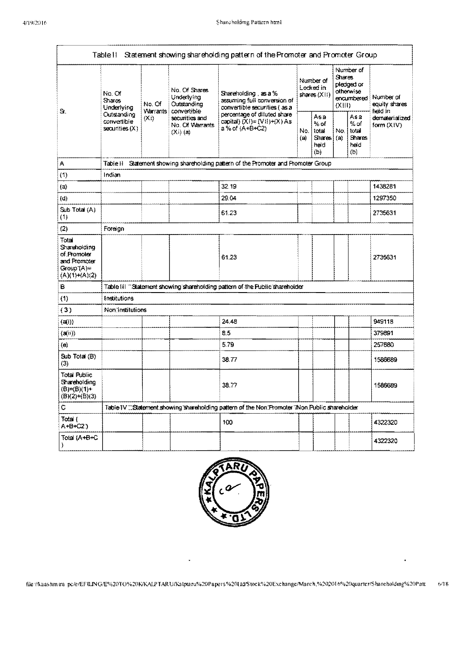|                                                                                        | Table II                                                                          |        |                                                                | Statement showing shareholding pattern of the Promoter and Promoter Group                          |                                          |                                                              |                                                                                    |                                                      |                                       |
|----------------------------------------------------------------------------------------|-----------------------------------------------------------------------------------|--------|----------------------------------------------------------------|----------------------------------------------------------------------------------------------------|------------------------------------------|--------------------------------------------------------------|------------------------------------------------------------------------------------|------------------------------------------------------|---------------------------------------|
| S.                                                                                     | No. Of<br><b>Shares</b><br>Underlying                                             | No. Of | No. Of Shares<br>Underlying<br>Outstanding                     | Shareholding, as a %<br>assuming full conversion of<br>convertible securities (as a                | Number of<br>Locked in<br>shares $(X 1)$ |                                                              | Number of<br><b>Shares</b><br>pledged or<br>otherwise<br>encumbered<br>$(X$ $   )$ |                                                      | Number of<br>equity shares<br>neid in |
|                                                                                        | Warrants<br>Outstanding<br>(X <sub>i</sub> )<br>convertible<br>$sc$ urities $(X)$ |        | convertible<br>securities and<br>No. Of Warrants<br>$(Xi)$ (a) | percentage of diluted share<br>capital) $(XI) = (VII)+(X) As$<br>a % of (A+B+C2)                   | No.<br>(a)                               | Asa<br>$%$ of<br>total<br>Shares <sup>1</sup><br>heid<br>(b) | No.<br>(a)                                                                         | Asa<br>% of<br>total<br><b>Shares</b><br>held<br>(b) | dematerialized<br>form $(X V)$        |
| A                                                                                      | Table II                                                                          |        |                                                                | Statement showing shareholding pattern of the Promoter and Promoter Group                          |                                          |                                                              |                                                                                    |                                                      |                                       |
| (1)                                                                                    | Indian                                                                            |        |                                                                |                                                                                                    |                                          |                                                              |                                                                                    |                                                      |                                       |
| (a)                                                                                    |                                                                                   |        |                                                                | 32.19                                                                                              |                                          |                                                              |                                                                                    |                                                      | 1438281                               |
| (d)                                                                                    |                                                                                   |        |                                                                | 29.04                                                                                              |                                          |                                                              |                                                                                    |                                                      | 1297350                               |
| Sub Total (A)<br>(1)                                                                   |                                                                                   |        |                                                                | 61.23                                                                                              |                                          |                                                              |                                                                                    |                                                      | 2735631                               |
| (2)                                                                                    | Foreign                                                                           |        |                                                                |                                                                                                    |                                          |                                                              |                                                                                    |                                                      |                                       |
| Total<br>Shareholding<br>of Promoter<br>and Promoter<br>$Group(A)=$<br>$(A)(1)+(A)(2)$ |                                                                                   |        |                                                                | 61.23                                                                                              |                                          |                                                              |                                                                                    |                                                      | 2735631                               |
| в                                                                                      |                                                                                   |        |                                                                | Table III "Statement showing shareholding pattern of the Public shareholder                        |                                          |                                                              |                                                                                    |                                                      |                                       |
| (1)                                                                                    | Institutions                                                                      |        |                                                                |                                                                                                    |                                          |                                                              |                                                                                    |                                                      |                                       |
| (3)                                                                                    | Non institutions                                                                  |        |                                                                |                                                                                                    |                                          |                                                              |                                                                                    |                                                      |                                       |
| (a(i))                                                                                 |                                                                                   |        |                                                                | 24.48                                                                                              |                                          |                                                              |                                                                                    |                                                      | 949118                                |
| (a(n))                                                                                 |                                                                                   |        |                                                                | 8.5                                                                                                |                                          |                                                              |                                                                                    |                                                      | 379891                                |
| (e)                                                                                    |                                                                                   |        |                                                                | 5.79                                                                                               |                                          |                                                              |                                                                                    |                                                      | 257680                                |
| Sub Total (B)<br>(3)                                                                   |                                                                                   |        |                                                                | 38.77                                                                                              |                                          |                                                              |                                                                                    |                                                      | 1586689                               |
| <b>Total Public</b><br>Shareholding<br>$(B)=(B)(1)+$<br>$(B)(2)+(B)(3)$                |                                                                                   |        |                                                                | 38.77                                                                                              |                                          |                                                              |                                                                                    |                                                      | 1586689                               |
| C                                                                                      |                                                                                   |        |                                                                | Table IV ::: Statement showing shareholding pattern of the Non: Promoter "iNon. Public shareholder |                                          |                                                              |                                                                                    |                                                      |                                       |
| Total (<br>A+B+C23                                                                     |                                                                                   |        |                                                                | 100                                                                                                |                                          |                                                              |                                                                                    |                                                      | 4322320                               |
| Total (A+B+C                                                                           |                                                                                   |        |                                                                |                                                                                                    |                                          |                                                              |                                                                                    |                                                      | 4322320                               |



file://kaashmtra-pc/e/EFILING/E%20TO%20K/KALPTARU/Kalptaru%20Papers%20Ltd/Stock%20Exchange/March,%202016%20quarter/Shareholding%20Patt  $6/18$ 

 $\blacksquare$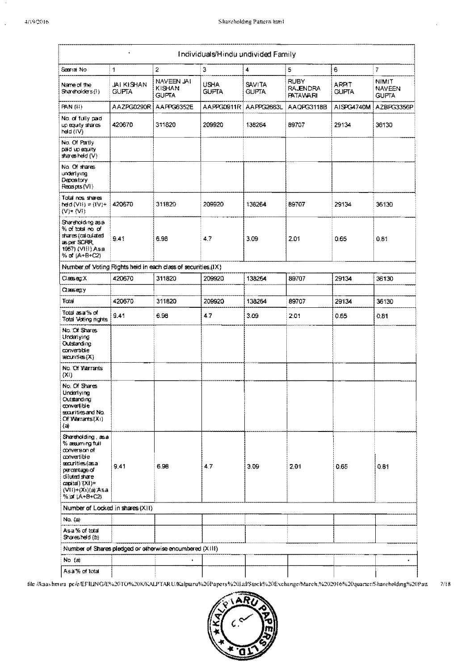$\ddot{\phantom{a}}$ 

|                                                                                                                                                                                     | $\ddot{\phantom{0}}$              |                                      | Individuals/Hindu undivided Family |                               |                                                   |                              |                                        |
|-------------------------------------------------------------------------------------------------------------------------------------------------------------------------------------|-----------------------------------|--------------------------------------|------------------------------------|-------------------------------|---------------------------------------------------|------------------------------|----------------------------------------|
| Seanal No                                                                                                                                                                           | 1                                 | $\mathbf{2}$                         | 3                                  | $\pmb{4}$                     | 5                                                 | 6                            | 7                                      |
| Name of the<br>Shareholders (1)                                                                                                                                                     | <b>JAI KISHAN</b><br><b>GUPTA</b> | NAVEEN JAI<br>KISHAN<br><b>GUFTA</b> | USHA.<br><b>GUFTA</b>              | <b>SAVITA</b><br><b>GUPTA</b> | <b>RUBY</b><br><b>RAJENDRA</b><br><b>FATAVARI</b> | <b>ARPIT</b><br><b>GUPTA</b> | NIMIT<br><b>NAVEEN</b><br><b>GUPTA</b> |
| PAN (11).                                                                                                                                                                           | AAZPG0290R                        | AAFFG6352E                           | AAPPG0911R                         | AAPPG2663L                    | AAQPG3118B                                        | AISPG4740M                   | A2BPG3356P                             |
| No. of fully paid<br>up equity shares<br>heid $(IV)$                                                                                                                                | 420670                            | 311820                               | 209920                             | 138264                        | 89707                                             | 29134                        | 36130                                  |
| No. Of Partly<br>paid up equity.<br>shares held (V).                                                                                                                                |                                   |                                      |                                    |                               |                                                   |                              |                                        |
| No. Of shares<br>underlying<br>Depository<br>Receipts (VI)                                                                                                                          |                                   |                                      |                                    |                               |                                                   |                              |                                        |
| Total nos shares<br>teld (VII) = (IV)+.<br>$(V) + (VI)$                                                                                                                             | 420670                            | 311820                               | 209920                             | 138264                        | 89707                                             | 29134                        | 36130                                  |
| Stareholding as a<br>% of tatal no of<br>stares (calculated<br>as per SCRR,<br>1957) (VIII) Asa<br>% of (A+B+C2)                                                                    | 9.41                              | 6.98                                 | 4.7                                | 3,09                          | 2.01                                              | 0.65                         | 0.81                                   |
| Number of Voting Rights held in each class of securities (IX)                                                                                                                       |                                   |                                      |                                    |                               |                                                   |                              |                                        |
| $\alpha$ as eq. $\times$                                                                                                                                                            | 420670                            | 311820                               | 209920                             | 138264                        | 89707                                             | 29134                        | 36130                                  |
| Classiegty                                                                                                                                                                          |                                   |                                      |                                    |                               |                                                   |                              |                                        |
| Total                                                                                                                                                                               | 420670                            | 311820                               | 209920                             | 138264                        | 89707                                             | 29134                        | 36130                                  |
| Total as a % of<br>Total Voting rights                                                                                                                                              | 9.41                              | 6.98                                 | 4.7                                | 3.09                          | 2.01                                              | 0.65                         | 0.81                                   |
| No. Of Shares<br>Underlying<br>Outstanding<br>convertible<br>seanties (X)                                                                                                           |                                   |                                      |                                    |                               |                                                   |                              |                                        |
| No. Of Warrants<br>(X <sub>i</sub> )                                                                                                                                                |                                   |                                      |                                    |                               |                                                   |                              |                                        |
| No. Of Shares<br>Underlying<br>Outstanding<br>convertible<br>securities and No.<br>Of Warrants (Xi)<br>(а)                                                                          |                                   |                                      |                                    |                               |                                                   |                              |                                        |
| Shareholding, as all<br>% æsuming full<br>conversion of<br>convertible<br>ascurities (as a<br>percentage of<br>diluted share<br>capital) (XI)=<br>(VII)+(Xi)(a)Аsa<br>% of (A+B+C2) | 9.41                              | 6.98                                 | $4.7^{\circ}$                      | 3.09                          | 2.01                                              | 0.65                         | 0.81                                   |
| Number of Locked in shares (XII)                                                                                                                                                    |                                   |                                      |                                    |                               |                                                   |                              |                                        |
| No. (a)                                                                                                                                                                             |                                   |                                      |                                    |                               |                                                   |                              |                                        |
| Asa% of total<br>Sharesheld (b)                                                                                                                                                     |                                   |                                      |                                    |                               |                                                   |                              |                                        |
| Number of Shares pledged or otherwise encumbered (X1II)                                                                                                                             |                                   |                                      |                                    |                               |                                                   |                              |                                        |
| No $(a)$                                                                                                                                                                            |                                   | $\bullet$                            |                                    |                               |                                                   |                              | ¥.                                     |
| Asa% of total                                                                                                                                                                       |                                   |                                      |                                    |                               |                                                   |                              |                                        |

file /kaashmira-pc/e/EFILING/E%20TO%20K/KALPTARU/Kalptaru%20Papers%20Ltd/Stock%20Exchange/March.%202016%20quarter/Shareholding%20Patt  $7/18$ 

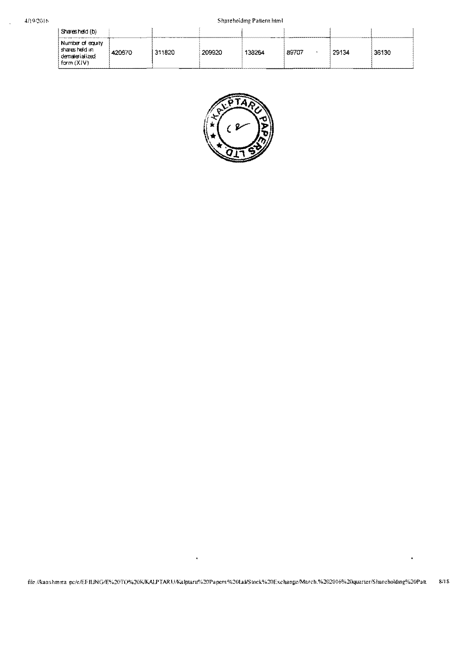$\overline{\phantom{a}}$ 

| Sharesheld (b)                                                      |        |        |        |        |       |       |       |
|---------------------------------------------------------------------|--------|--------|--------|--------|-------|-------|-------|
| Number of equity<br>sharesheld in<br>dematerialized<br>form $(X V)$ | 420670 | 311820 | 209920 | 138264 | 89707 | 29134 | 36130 |



file://kaashmxa-pc/e/EFILING/E%20TO%20K/KALPTARU/Kalptaru%20Papers%20Lul/Stock%20Exchange/March.%202016%20quarter/Shareholding%20Patt  $8/18$ 

 $\cdot$ 

 $\ddot{\phantom{0}}$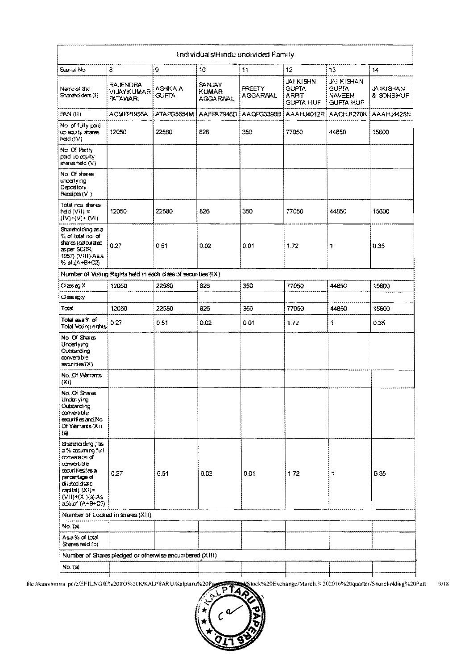|                                                                                                                                                                                         |                                                               |                         |                                                  | Individuals/Hindu undivided Family |                                                               |                                                                 |                               |
|-----------------------------------------------------------------------------------------------------------------------------------------------------------------------------------------|---------------------------------------------------------------|-------------------------|--------------------------------------------------|------------------------------------|---------------------------------------------------------------|-----------------------------------------------------------------|-------------------------------|
| Searial No                                                                                                                                                                              | 8                                                             | 9                       | 10                                               | 11                                 | 12.                                                           | 13                                                              | 14                            |
| Name of the<br>Shareholders (1)                                                                                                                                                         | <b>RAJENDRA</b><br>VIJAYKUMAR<br>PATAMARI                     | ASHKA A<br><b>GUFTA</b> | <b>SANJAY</b><br><b>KUMAR</b><br><b>AGGARWAL</b> | <b>PREETY</b><br><b>AGGARWAL</b>   | <b>JAI KISHN</b><br><b>GUFTA</b><br>ARPIT<br><b>GUPTA HUF</b> | JAI KISHAN<br><b>GUFTA</b><br><b>NAVEEN</b><br><b>GUPTA HUF</b> | <b>JAIKISHAN</b><br>& SONSHUF |
| <b>PAN (II)</b>                                                                                                                                                                         | ACMPP1956A                                                    | ATA PG5654M             | AAEPA7946D                                       | AAQPG3398B                         | AAAHJ4012R                                                    | AACHJ1270K                                                      | <b>AAAHJ4425N</b>             |
| No of fully pad<br>up equity shares<br>heid (IV)                                                                                                                                        | 12050                                                         | 22580                   | 826                                              | 350                                | 77050                                                         | 44850                                                           | 15600                         |
| No Of Partly<br>pad up equity<br>shares held (V)                                                                                                                                        |                                                               |                         |                                                  |                                    |                                                               |                                                                 |                               |
| No Of shares<br>underlying<br>Depository<br>Receipts (VI)                                                                                                                               |                                                               |                         |                                                  |                                    |                                                               |                                                                 |                               |
| Total nos shares<br>held (Vil) =<br>$(V^*_{\mathcal{V}}(V)$ + $(V^{\mathcal{V}}_{\mathcal{V}})$                                                                                         | 12050                                                         | 22580                   | 826                                              | 350                                | 77050                                                         | 44850                                                           | 15600                         |
| Shareholding as a<br>% of total no. of<br>shares (calculated<br>asper SCRR,<br>1957) (VIII) Asa<br>% of (A+B+C2)                                                                        | 0.27                                                          | 0.51                    | 0.02                                             | 0.01                               | 1.72                                                          | 1                                                               | 0.35                          |
|                                                                                                                                                                                         | Number of Voting Rights held in each class of securities (IX) |                         |                                                  |                                    |                                                               |                                                                 |                               |
| $\Box$ asseq. $\times$                                                                                                                                                                  | 12050                                                         | 22580                   | 826                                              | 350                                | 77050                                                         | 44850                                                           | 15600                         |
| Clæseg:y                                                                                                                                                                                |                                                               |                         |                                                  |                                    |                                                               |                                                                 |                               |
| Total                                                                                                                                                                                   | 12050                                                         | 22580                   | 826                                              | 350                                | 77050                                                         | 44850                                                           | 15600                         |
| Totaiasa% of<br>Total Voting nghts                                                                                                                                                      | 0.27                                                          | 0.51                    | 0.02                                             | 0.01                               | 1.72                                                          | 4                                                               | 0.35                          |
| No Of Shares<br>Underlying<br>Outstanding<br>convertible<br>securities (X)                                                                                                              |                                                               |                         |                                                  |                                    |                                                               |                                                                 |                               |
| No.: Of Warrants<br>(X <sub>i</sub> )                                                                                                                                                   |                                                               |                         |                                                  |                                    |                                                               |                                                                 |                               |
| No. Of Shares<br>Underlying<br>Outstanding<br>convertible<br>securities and No<br>Of Warrants $(X_1)$<br>(a)                                                                            |                                                               |                         |                                                  |                                    |                                                               |                                                                 |                               |
| Shareholding, as<br>a % assuming full<br>conversion of<br>convertible<br>securibes (as a<br>percentage of<br>diuted share<br>$\text{cavital}(XX) =$<br>(VII)+(Xi)(@As<br>a% of (A+B+C2) | 0.27                                                          | 0.51                    | 0.02                                             | 0.01                               | 1.72                                                          | 1                                                               | 0.35                          |
| Number of Locked in shares (XII)                                                                                                                                                        |                                                               |                         |                                                  |                                    |                                                               |                                                                 |                               |
| No. Ta)                                                                                                                                                                                 |                                                               |                         |                                                  |                                    |                                                               |                                                                 |                               |
| Asa% of total<br>Sharesheld (b)                                                                                                                                                         |                                                               |                         |                                                  |                                    |                                                               |                                                                 |                               |
|                                                                                                                                                                                         | Number of Shares pledged or otherwise encumbered (XIII)       |                         |                                                  |                                    |                                                               |                                                                 |                               |
| No. (a)                                                                                                                                                                                 |                                                               |                         |                                                  |                                    |                                                               |                                                                 |                               |
|                                                                                                                                                                                         |                                                               |                         |                                                  |                                    |                                                               |                                                                 |                               |

Stock%20Exchange/March,%202016%20quarter/Shareholding%20Patt file //kaashmira\_pc/e/EFILING/E%20TO%20K/KALPTAR U/Kalptaru%20F  $9/18$ 

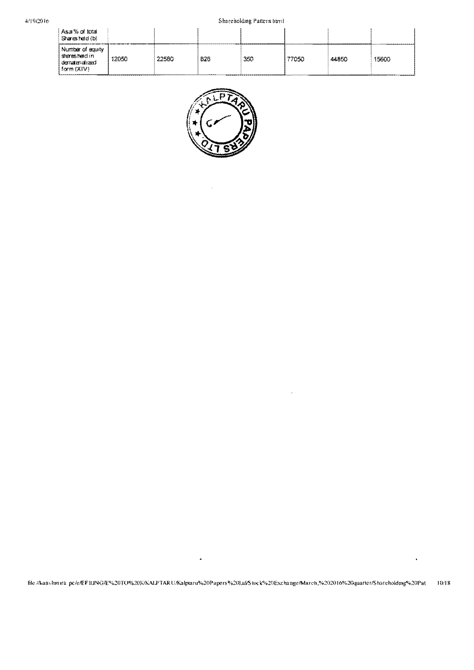## Shareholding Pattern himl

| As a % of total<br>Sharesheld (b)                                |       |       |         |     |       |       |       |
|------------------------------------------------------------------|-------|-------|---------|-----|-------|-------|-------|
| Number of equity<br>sharesheldin<br>dematerialized<br>form (XIV) | 12050 | 22580 | 826<br> | 350 | 77050 | 44850 | 15600 |



 $\ddot{\phantom{1}}$ 

 $\bar{\beta}$ 

 $\hat{\boldsymbol{\beta}}$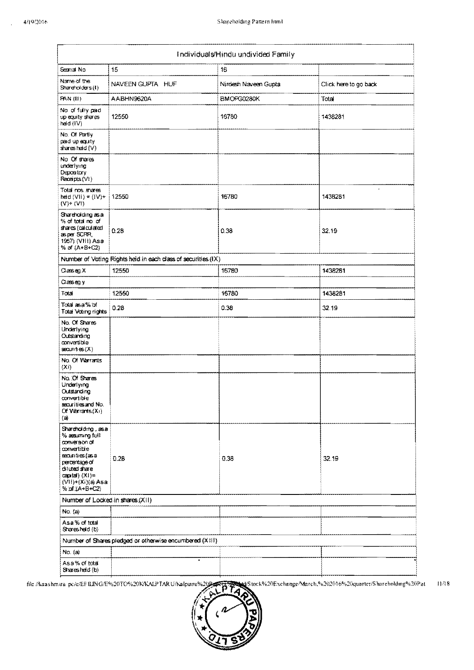|                                                                                                                                                                                        |                                                               | Individuals/Hindu undivided Family |                       |
|----------------------------------------------------------------------------------------------------------------------------------------------------------------------------------------|---------------------------------------------------------------|------------------------------------|-----------------------|
| Seanal No                                                                                                                                                                              | 15                                                            | 16                                 |                       |
| Name of the<br>Shareholders (1)                                                                                                                                                        | NAVEEN GUPTA HUF                                              | Nirdesh Naveen Gupta               | Click here to go back |
| <b>PAN (II)</b>                                                                                                                                                                        | AABHN9620A                                                    | BMOPG0280K                         | Total                 |
| No of fully paid<br>up equity shares<br>held (IV)                                                                                                                                      | 12550                                                         | 16780                              | 1438281               |
| No. Of Partly<br>pad up equity<br>sharesheld (V)                                                                                                                                       |                                                               |                                    |                       |
| No Of shares<br>underlying<br>Depository<br>Receipts (VI)                                                                                                                              |                                                               |                                    |                       |
| Total nos shares<br>heid (VII) = $(IV)$ +<br>$(V)$ + $(V1)$                                                                                                                            | 12550                                                         | 16780                              | 1438281               |
| Shareholding as a<br>% of total no of<br>shares (calculated<br>asper SCRR,<br>1957) (VIII) Asa<br>% of (A+B+C2)                                                                        | 0.28                                                          | 0.38                               | 32.19                 |
|                                                                                                                                                                                        | Number of Voting Rights held in each class of securities (IX) |                                    |                       |
| $O$ asseg, X                                                                                                                                                                           | 12550                                                         | 16780                              | 1438281               |
| $\cos \omega y$                                                                                                                                                                        |                                                               |                                    |                       |
| Total                                                                                                                                                                                  | 12550                                                         | 16780                              | 1438281               |
| Total as a% of<br>Total Voting rights                                                                                                                                                  | 0.28                                                          | 0.38                               | 32.19                 |
| No. Of Shares<br>Underlying<br>Outstanding<br>convertible<br>$s$ countes $(X)$                                                                                                         |                                                               |                                    |                       |
| No. Of Warrants<br>(Xi)                                                                                                                                                                |                                                               |                                    |                       |
| No. Of Shares<br>Underlying<br>Outstanding<br>convertible<br>securities and No.<br>Of Warrants (Xi)<br>(a)                                                                             |                                                               |                                    |                       |
| Shareholding, as a<br>% aesumung full<br>conversion of<br>convertible<br>securities (as a<br>percentage of<br>diuted share<br>$\text{card}(X)$ =<br>(VII)+(Xi)(a) Asa<br>% of IA+B+C2} | 0.28                                                          | 0.38                               | 32.19                 |
| Number of Locked in shares (XII)                                                                                                                                                       |                                                               |                                    |                       |
| No. $\langle a \rangle$                                                                                                                                                                |                                                               |                                    |                       |
| Asa% of total<br>Sharesheld (b)                                                                                                                                                        |                                                               |                                    |                       |
|                                                                                                                                                                                        | Number of Shares pledged or otherwise encumbered (XIII)       |                                    |                       |
| No. (a)                                                                                                                                                                                |                                                               |                                    |                       |
| Asa% of total<br>Sharesheld (b)                                                                                                                                                        |                                                               |                                    |                       |

/Stock%20Exchange/March,%202016%20quarter/Shareholding%20Pat  $11/18$ file /Aaashmira\_pc/e/EFILING/E%20TO%20K/KALPTARU/Kalpiaru%2002

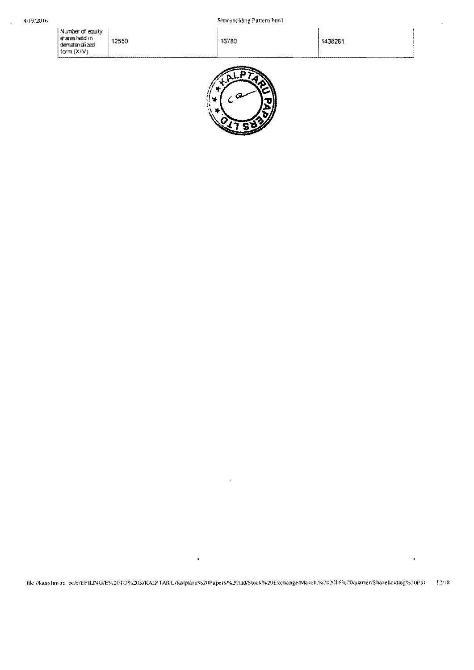$\overline{\phantom{a}}$ 

Number of equity<br>| sharesheld in<br>| dematerialized<br>| form (XIV) 12550

1438281



16780

file //kaashmira-pc/e/EFILING/E%20TO%20KKALPTARU/Kalptaru%20Papers%20Ltd/Stnck%20Exchange/March.%202016%20quarter/Shareholding%20Pat  $12/18$ 

.

 $\ddot{\phantom{0}}$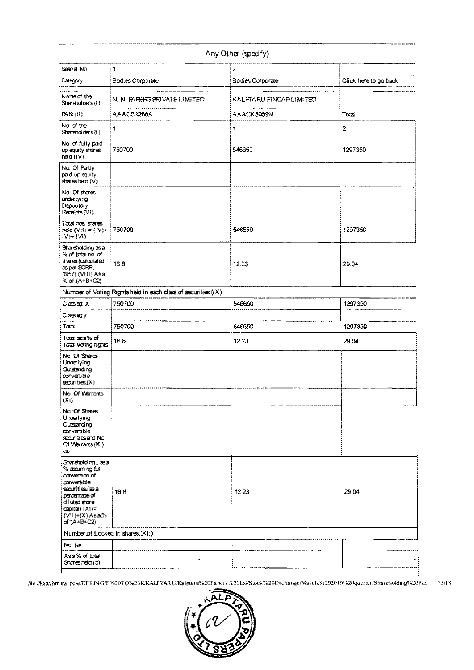|                                                                                                                                                                                                |                                                               | Any Other (specify)     |                       |
|------------------------------------------------------------------------------------------------------------------------------------------------------------------------------------------------|---------------------------------------------------------------|-------------------------|-----------------------|
| Seanal No.                                                                                                                                                                                     | 1                                                             | $\bar{z}$               |                       |
| Category                                                                                                                                                                                       | Bodies Corporate                                              | <b>Bodies Corporate</b> | Click here to go back |
| Name of the<br>Svareholders (I)                                                                                                                                                                | N. N. PAPERS PRIVATE LIMITED                                  | KALFTARU FINCAPLIMITED  |                       |
| <b>PAN (II)</b>                                                                                                                                                                                | AAACB1266A                                                    | AAACK3069N              | Total                 |
| No of the<br>Shareholders(I)                                                                                                                                                                   | $\overline{\mathbf{1}}$                                       | 1                       | $\overline{2}$        |
| No of fully pad<br>up equity shares<br>heid (IV)                                                                                                                                               | 750700                                                        | 546650                  | 1297350               |
| No. Of Patly<br>pad up equity<br>sharesheld (V)                                                                                                                                                |                                                               |                         |                       |
| No Of sheres<br>underlying<br>Depostory<br>Receipts (VI)                                                                                                                                       |                                                               |                         |                       |
| Total nos shares<br>$\text{hdd}(\text{VII}) = (\text{IV}) +$<br>$(V) + (VI)$                                                                                                                   | 750700                                                        | 546650                  | 1297350               |
| Shareholding as a<br>% of total no. of<br>shares (calculated<br>as per SCRR,<br>1957) (VIII) Asa<br>% of (A+B+C2)                                                                              | 16.8                                                          | 12.23                   | 29.04                 |
|                                                                                                                                                                                                | Number of Voting Rights held in each class of securities (IX) |                         |                       |
| Classieg: X                                                                                                                                                                                    | 750700                                                        | 546650                  | 1297350               |
| Classegy                                                                                                                                                                                       |                                                               |                         |                       |
| Total                                                                                                                                                                                          | 750700                                                        | 546650                  | 1297350               |
| Total.asa %of<br>Total Voting rights                                                                                                                                                           | 16.8                                                          | 12.23                   | 29.04                 |
| No Of Shares<br>Underlying<br>Outstanding<br>convertible<br>scounties (X)                                                                                                                      |                                                               |                         |                       |
| No. Of Warrants<br>(Xi)                                                                                                                                                                        |                                                               |                         |                       |
| No. Of Shares<br>Underlying<br>Outstanding<br>convertible<br>securities and No.<br>Of Warrants (Xi)<br>(a)                                                                                     |                                                               |                         |                       |
| Shareholding, as a<br>% assuming full<br>conversion of<br>convertible<br>securities (as a<br>percentage of<br>diuted share<br>$\exp(\mathsf{id})$ $(X!)$ =<br>$(V11)+(X)$ Asa%<br>of $TA+B+C2$ | 16.8                                                          | 12.23                   | 29.04                 |
| Number of Locked in shares (XII)                                                                                                                                                               |                                                               |                         |                       |
| No $(a)$                                                                                                                                                                                       |                                                               |                         |                       |
| Asa% of total<br>Sharesheld (b)                                                                                                                                                                | ٠                                                             |                         |                       |

file //kaashmira\_pc/e/EFILING/E%20TQ%20K/KALPTARU/Kalptaru%20Papers%20Ltd/Stock%20Exchange/March,%202016%20quarter/Shareholding%20Pat=13/18

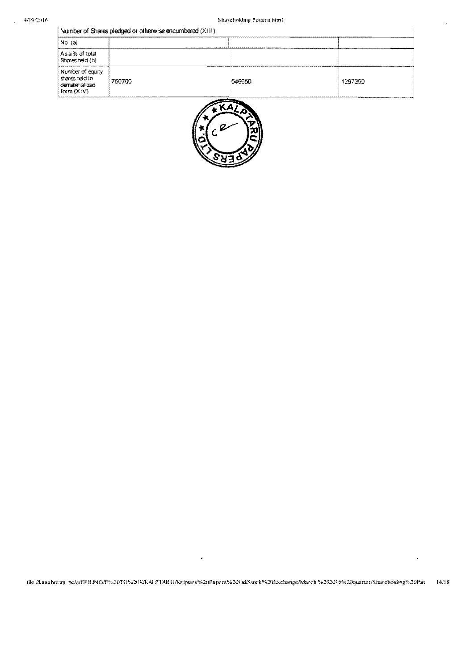$\bar{\lambda}$ 

|  |  |  | Number of Shares pledged or otherwise encumbered (XIII) |  |
|--|--|--|---------------------------------------------------------|--|

| Shareholdsng Pattern html                                        |        |        |         |  |  |  |
|------------------------------------------------------------------|--------|--------|---------|--|--|--|
| Number of Shares pledged or otherwise encumbered (XIII)          |        |        |         |  |  |  |
| No (a)                                                           |        |        |         |  |  |  |
| Asa % of total<br>Sharesheld (b)                                 |        |        |         |  |  |  |
| Number of equity<br>sharesheldin<br>dematerialized<br>form (XIV) | 750700 | 546650 | 1297350 |  |  |  |



file /Aaashmira-pc/e/EFILING/E%20TO%20KKALPTARU/Kalptaru%20Papers%20Lid/Stock%20Exchange/March,%202016%20quarter/Shareholding%20Pat 14/18

 $\ddot{\phantom{0}}$ 

 $\hat{\textbf{r}}$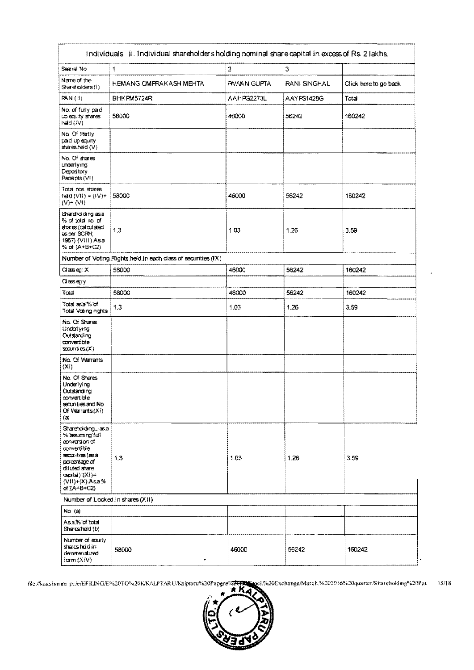| Seara No                                                                                                                                                                         | 1                                                             | $\overline{2}$     | 3            |                       |
|----------------------------------------------------------------------------------------------------------------------------------------------------------------------------------|---------------------------------------------------------------|--------------------|--------------|-----------------------|
| Name of the<br>Shareholders(i)                                                                                                                                                   | HEMANG OMPRAKASH MEHTA                                        | <b>PAWAN GUPTA</b> | RANI SINGHAL | Click here to go back |
| <b>PAN (II)</b>                                                                                                                                                                  | BHK PM5724R                                                   | AAHPG2273L         | AAYPS1428G   | Total                 |
| No. of fully paid<br>up equity shares<br>held (IV)                                                                                                                               | 58000                                                         | 46000              | 56242        | 160242                |
| No. Of Partly<br>pad up equity.<br>$s$ are sheld $\langle \vee \rangle$                                                                                                          |                                                               |                    |              |                       |
| No. Of shares<br>underlying<br>Depository<br>Receipts (VI)                                                                                                                       |                                                               |                    |              |                       |
| Total nos shares<br>heid (VII) = {IV}+.<br>$(V)$ + $(V!)$                                                                                                                        | 58000                                                         | 46000              | 56242        | 160242                |
| Shareholding as a<br>% of total no of<br>shares (calculated<br>as per SCRR,<br>1957) (VIII) Asa<br>% of (A+B+C2)                                                                 | 13                                                            | 1.03               | 1.26         | 3.59                  |
|                                                                                                                                                                                  | Number of Voting Rights held in each class of securities (IX) |                    |              |                       |
| $\alpha$ aase $\alpha$ : $\chi$                                                                                                                                                  | 58000                                                         | 46000              | 56242        | 160242                |
| Classery                                                                                                                                                                         |                                                               |                    |              |                       |
| Total                                                                                                                                                                            | 58000                                                         | 46000              | 56242        | 160242                |
| Total as a % of<br>Total Voting rights                                                                                                                                           | 1.3                                                           | 1.03               | 1.26         | 3.59                  |
| No. Of Shares<br>Underlying<br>Outstanding<br>convertible<br>$s$ counties $(X)$                                                                                                  |                                                               |                    |              |                       |
| No. Of Warrants<br>(Xi)                                                                                                                                                          |                                                               |                    |              |                       |
| No. Of Shares<br>Underlying<br>Outstanding<br>convertible<br>secunties and No<br>Of Warrants (Xi)<br>(3)                                                                         |                                                               |                    |              |                       |
| Shareholding Jasa<br>% araumng full<br>conversion of<br>convertible<br>securities (as a<br>percentage or<br>diluted share<br>capxtal) (XI)=<br>$(VII)+(X)$ Asa%<br>of $(A+B+CZ)$ | 1,3                                                           | 103                | 1.26         | 3.59                  |
| Number of Locked in shares (XII)                                                                                                                                                 |                                                               |                    |              |                       |
| $No$ (a)                                                                                                                                                                         |                                                               |                    |              |                       |
| Asa% of total<br>Sharesheld (b)                                                                                                                                                  |                                                               |                    |              |                       |
| Number of equity<br>sharesheidin<br>dematerialized<br>form $(X V)$                                                                                                               | 58000<br>٠                                                    | 46000              | 56242        | 160242                |

file //kaashmira\_pc/e/Ef JUNG/E%20TO%20K/KALPTARU/Kalptaru%20Pap<del>gra%20D</del> pck%20Exchange/March.%202016%20quarter/Shureholding%20Pat  $15/18$ 

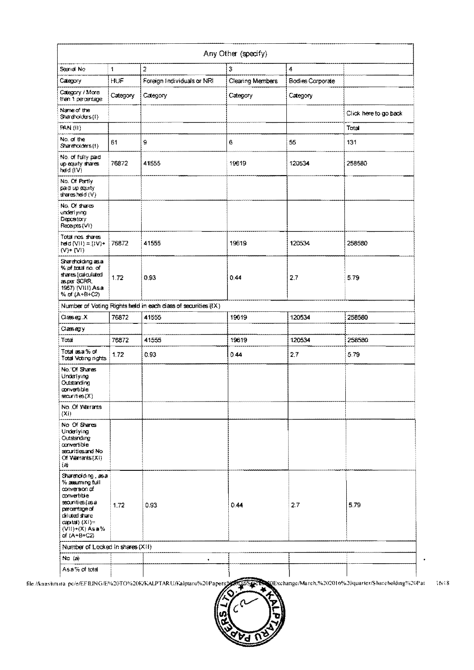|                                                                                                                                                                                |          |                                                               | Any Other (specify)     |                         |                       |
|--------------------------------------------------------------------------------------------------------------------------------------------------------------------------------|----------|---------------------------------------------------------------|-------------------------|-------------------------|-----------------------|
| Seanal No                                                                                                                                                                      | 1        | $\overline{2}$                                                | 3                       | 4                       |                       |
| Calegory                                                                                                                                                                       | HUF      | Foreign Individuals or NRI                                    | <b>Clearing Members</b> | <b>Bodies Corporate</b> |                       |
| Category / More<br>than 1 percentage                                                                                                                                           | Category | Category                                                      | Category                | Category                |                       |
| Name of the<br>Shareholders(I)                                                                                                                                                 |          |                                                               |                         |                         | Click here to go back |
| <b>PAN (II)</b>                                                                                                                                                                |          |                                                               |                         |                         | Total                 |
| No. of the<br>Shareholders (1)                                                                                                                                                 | 61       | 9                                                             | 6                       | 55                      | 131                   |
| No. of fully pad.<br>up equity shares<br>hed (IV)                                                                                                                              | 76872    | 41555                                                         | 19619                   | 120534                  | 258580                |
| No. Of Partly<br>pad up equity<br>$\frac{1}{2}$ and $\frac{1}{2}$                                                                                                              |          |                                                               |                         |                         |                       |
| No. Of shares<br>underlying<br>Depository<br>Recapts (VI)                                                                                                                      |          |                                                               |                         |                         |                       |
| Total nos shares<br>$\text{held}(V I) = I(V) +$<br>$(V)$ + $(V)$                                                                                                               | 76872    | 41555                                                         | 19619                   | 120534                  | 258580                |
| Shareholding as a<br>% of total no. of<br>shares (calculated<br>asper SCRR.<br>1957) (VIII) Asa<br>% of (A+B+C2)                                                               | 1.72     | 0.93                                                          | 0.44                    | 2.7                     | 5.79                  |
|                                                                                                                                                                                |          | Number of Voting Rights held in each class of securities (IX) |                         |                         |                       |
| $C$ lasseg: $X$                                                                                                                                                                | 76872    | 41555                                                         | 19619                   | 120534                  | 258580                |
| Classegy                                                                                                                                                                       |          |                                                               |                         |                         |                       |
| Tatai                                                                                                                                                                          | 76872    | 41555                                                         | 19619                   | 120534                  | 258580                |
| Total as a % of<br>Total Voting nights                                                                                                                                         | 1.72     | 0.93                                                          | 0.44                    | 2.7                     | 5.79                  |
| No. Of Shares<br>Underlying<br>Outstanding<br>convertible<br>securities (X)                                                                                                    |          |                                                               |                         |                         |                       |
| No. Of Warrants<br>(X <sub>i</sub> )                                                                                                                                           |          |                                                               |                         |                         |                       |
| No. Of Shares<br>Underlying<br>Outstanding<br>axwertible<br>securities and No.<br>Of Varrants(XI)<br>$\left( 2\right)$                                                         |          |                                                               |                         |                         |                       |
| Shareholding, as a<br>% assuming full<br>conversion of<br>convertible<br>securities (as a<br>percentage of<br>diluted share<br>$\cosh(X) =$<br>$(VII)+(X)$ Asa%<br>of (A+B+C2) | 1.72     | 0.93                                                          | 0.44                    | 2.7                     | 5.79                  |
| Number of Locked in shares (XII)                                                                                                                                               |          |                                                               |                         |                         |                       |
| $No$ $(a)$                                                                                                                                                                     |          | $\bullet$                                                     |                         |                         |                       |
| Asa% of total                                                                                                                                                                  |          |                                                               |                         |                         |                       |

file //kaashmira\_pc/e/EFILING/E%20TO%20K/KALPTARU/Kalptaru%20Papers%ALLd/Steck 0Exchange/March.%202016%20quarter/Shareholding%20Pat 16/18

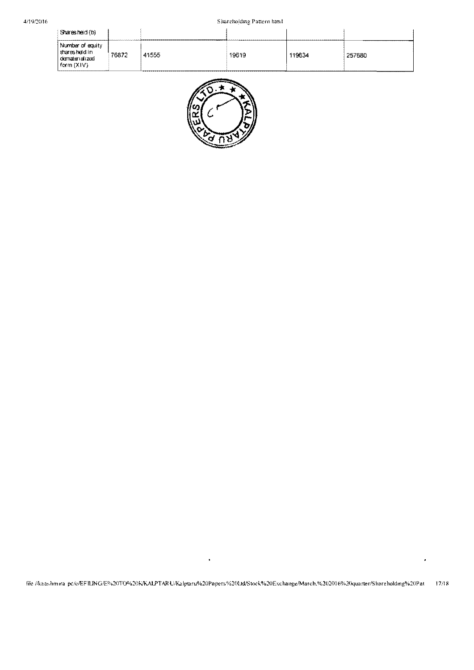| Sharesheid (b)                                                     |       | ------------------------ |       | --------------- |                                   |
|--------------------------------------------------------------------|-------|--------------------------|-------|-----------------|-----------------------------------|
| Number of equity<br>sharesheidin<br>dematerialized<br>  form (XIV) | 76872 | 41555                    | 19619 | 19634           | 257680<br>----------------------- |



 $\hat{\textbf{z}}$ 

 $\bar{\star}$